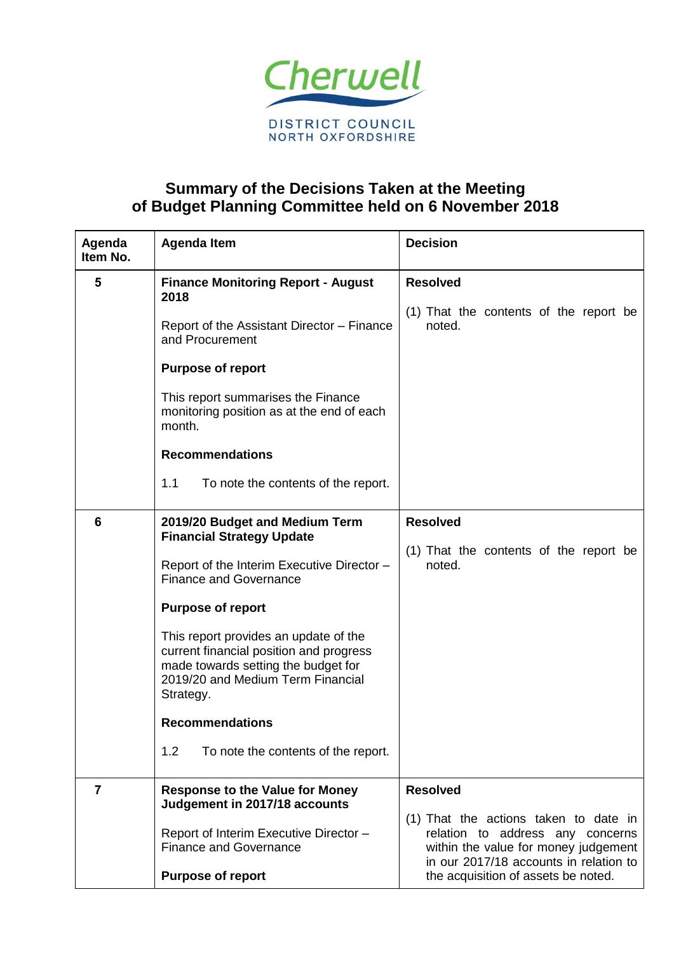

## **Summary of the Decisions Taken at the Meeting of Budget Planning Committee held on 6 November 2018**

| Agenda<br>Item No. | <b>Agenda Item</b>                                                                                                                                                        | <b>Decision</b>                                                                                                                                             |
|--------------------|---------------------------------------------------------------------------------------------------------------------------------------------------------------------------|-------------------------------------------------------------------------------------------------------------------------------------------------------------|
| 5                  | <b>Finance Monitoring Report - August</b><br>2018                                                                                                                         | <b>Resolved</b>                                                                                                                                             |
|                    | Report of the Assistant Director - Finance<br>and Procurement                                                                                                             | (1) That the contents of the report be<br>noted.                                                                                                            |
|                    | <b>Purpose of report</b>                                                                                                                                                  |                                                                                                                                                             |
|                    | This report summarises the Finance<br>monitoring position as at the end of each<br>month.                                                                                 |                                                                                                                                                             |
|                    | <b>Recommendations</b>                                                                                                                                                    |                                                                                                                                                             |
|                    | 1.1<br>To note the contents of the report.                                                                                                                                |                                                                                                                                                             |
| 6                  | 2019/20 Budget and Medium Term<br><b>Financial Strategy Update</b>                                                                                                        | <b>Resolved</b>                                                                                                                                             |
|                    | Report of the Interim Executive Director -<br><b>Finance and Governance</b>                                                                                               | (1) That the contents of the report be<br>noted.                                                                                                            |
|                    | <b>Purpose of report</b>                                                                                                                                                  |                                                                                                                                                             |
|                    | This report provides an update of the<br>current financial position and progress<br>made towards setting the budget for<br>2019/20 and Medium Term Financial<br>Strategy. |                                                                                                                                                             |
|                    | <b>Recommendations</b>                                                                                                                                                    |                                                                                                                                                             |
|                    | 1.2<br>To note the contents of the report.                                                                                                                                |                                                                                                                                                             |
| 7                  | <b>Response to the Value for Money</b><br>Judgement in 2017/18 accounts                                                                                                   | <b>Resolved</b>                                                                                                                                             |
|                    | Report of Interim Executive Director -<br><b>Finance and Governance</b>                                                                                                   | (1) That the actions taken to date in<br>relation to address any concerns<br>within the value for money judgement<br>in our 2017/18 accounts in relation to |
|                    | <b>Purpose of report</b>                                                                                                                                                  | the acquisition of assets be noted.                                                                                                                         |